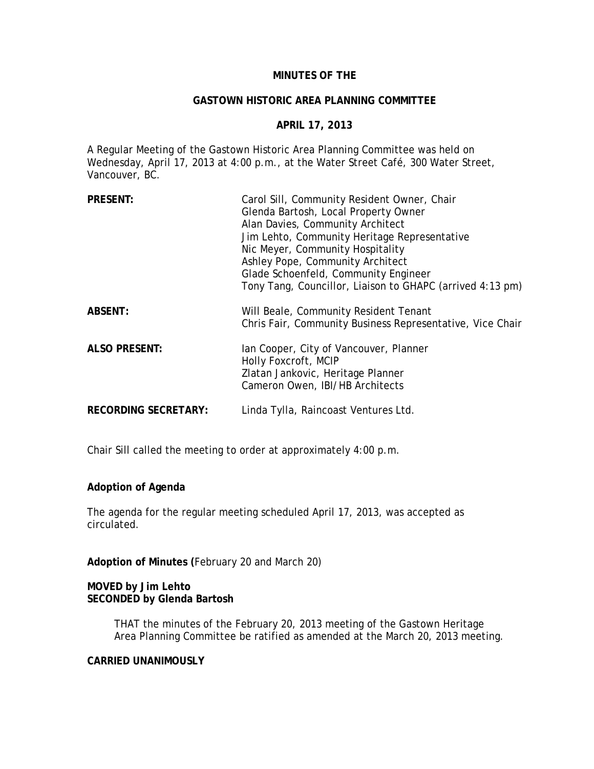## **MINUTES OF THE**

#### **GASTOWN HISTORIC AREA PLANNING COMMITTEE**

### **APRIL 17, 2013**

A Regular Meeting of the Gastown Historic Area Planning Committee was held on Wednesday, April 17, 2013 at 4:00 p.m., at the Water Street Café, 300 Water Street, Vancouver, BC.

| <b>PRESENT:</b>             | Carol Sill, Community Resident Owner, Chair<br>Glenda Bartosh, Local Property Owner<br>Alan Davies, Community Architect<br>Jim Lehto, Community Heritage Representative<br>Nic Meyer, Community Hospitality<br>Ashley Pope, Community Architect<br>Glade Schoenfeld, Community Engineer<br>Tony Tang, Councillor, Liaison to GHAPC (arrived 4:13 pm) |
|-----------------------------|------------------------------------------------------------------------------------------------------------------------------------------------------------------------------------------------------------------------------------------------------------------------------------------------------------------------------------------------------|
| <b>ABSENT:</b>              | Will Beale, Community Resident Tenant<br>Chris Fair, Community Business Representative, Vice Chair                                                                                                                                                                                                                                                   |
| <b>ALSO PRESENT:</b>        | lan Cooper, City of Vancouver, Planner<br>Holly Foxcroft, MCIP<br>Zlatan Jankovic, Heritage Planner<br>Cameron Owen, IBI/HB Architects                                                                                                                                                                                                               |
| <b>RECORDING SECRETARY:</b> | Linda Tylla, Raincoast Ventures Ltd.                                                                                                                                                                                                                                                                                                                 |

Chair Sill called the meeting to order at approximately 4:00 p.m.

### **Adoption of Agenda**

The agenda for the regular meeting scheduled April 17, 2013, was accepted as circulated.

**Adoption of Minutes (**February 20 and March 20)

## **MOVED by Jim Lehto SECONDED by Glenda Bartosh**

THAT the minutes of the February 20, 2013 meeting of the Gastown Heritage Area Planning Committee be ratified as amended at the March 20, 2013 meeting.

## **CARRIED UNANIMOUSLY**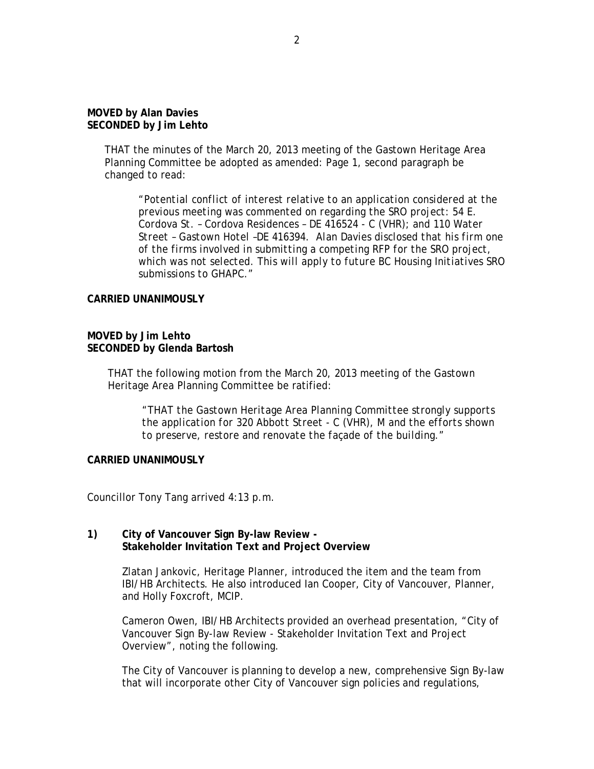## **MOVED by Alan Davies SECONDED by Jim Lehto**

THAT the minutes of the March 20, 2013 meeting of the Gastown Heritage Area Planning Committee be adopted as amended: Page 1, second paragraph be changed to read:

*"Potential conflict of interest relative to an application considered at the previous meeting was commented on regarding the SRO project: 54 E. Cordova St. – Cordova Residences – DE 416524 - C (VHR); and 110 Water Street – Gastown Hotel –DE 416394. Alan Davies disclosed that his firm one of the firms involved in submitting a competing RFP for the SRO project, which was not selected. This will apply to future BC Housing Initiatives SRO submissions to GHAPC."*

### **CARRIED UNANIMOUSLY**

## **MOVED by Jim Lehto SECONDED by Glenda Bartosh**

THAT the following motion from the March 20, 2013 meeting of the Gastown Heritage Area Planning Committee be ratified:

*"THAT the Gastown Heritage Area Planning Committee strongly supports the application for 320 Abbott Street - C (VHR), M and the efforts shown to preserve, restore and renovate the façade of the building."* 

## **CARRIED UNANIMOUSLY**

Councillor Tony Tang arrived 4:13 p.m.

### **1) City of Vancouver Sign By-law Review - Stakeholder Invitation Text and Project Overview**

Zlatan Jankovic, Heritage Planner, introduced the item and the team from IBI/HB Architects. He also introduced Ian Cooper, City of Vancouver, Planner, and Holly Foxcroft, MCIP.

Cameron Owen, IBI/HB Architects provided an overhead presentation, "City of Vancouver Sign By-law Review - Stakeholder Invitation Text and Project Overview", noting the following.

The City of Vancouver is planning to develop a new, comprehensive Sign By-law that will incorporate other City of Vancouver sign policies and regulations,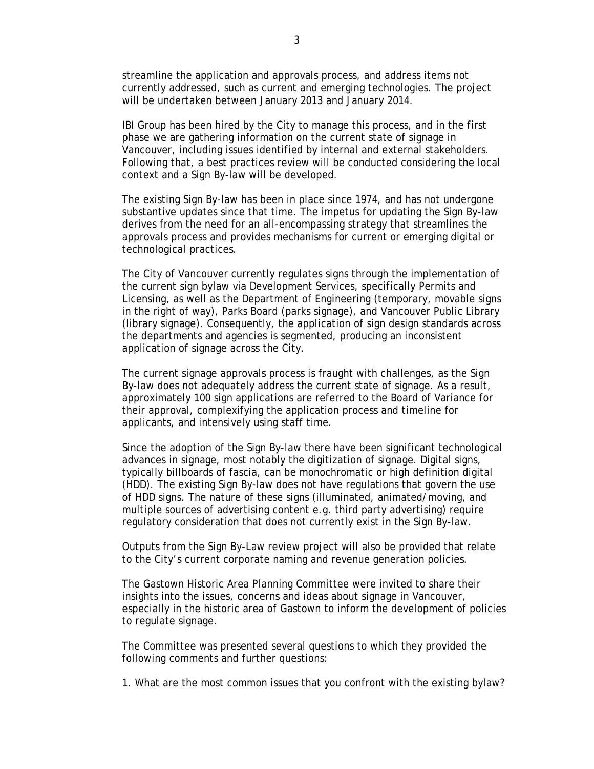streamline the application and approvals process, and address items not currently addressed, such as current and emerging technologies. The project will be undertaken between January 2013 and January 2014.

IBI Group has been hired by the City to manage this process, and in the first phase we are gathering information on the current state of signage in Vancouver, including issues identified by internal and external stakeholders. Following that, a best practices review will be conducted considering the local context and a Sign By-law will be developed.

The existing Sign By-law has been in place since 1974, and has not undergone substantive updates since that time. The impetus for updating the Sign By-law derives from the need for an all-encompassing strategy that streamlines the approvals process and provides mechanisms for current or emerging digital or technological practices.

The City of Vancouver currently regulates signs through the implementation of the current sign bylaw via Development Services, specifically Permits and Licensing, as well as the Department of Engineering (temporary, movable signs in the right of way), Parks Board (parks signage), and Vancouver Public Library (library signage). Consequently, the application of sign design standards across the departments and agencies is segmented, producing an inconsistent application of signage across the City.

The current signage approvals process is fraught with challenges, as the Sign By-law does not adequately address the current state of signage. As a result, approximately 100 sign applications are referred to the Board of Variance for their approval, complexifying the application process and timeline for applicants, and intensively using staff time.

Since the adoption of the Sign By-law there have been significant technological advances in signage, most notably the digitization of signage. Digital signs, typically billboards of fascia, can be monochromatic or high definition digital (HDD). The existing Sign By-law does not have regulations that govern the use of HDD signs. The nature of these signs (illuminated, animated/moving, and multiple sources of advertising content e.g. third party advertising) require regulatory consideration that does not currently exist in the Sign By-law.

Outputs from the Sign By-Law review project will also be provided that relate to the City's current corporate naming and revenue generation policies.

The Gastown Historic Area Planning Committee were invited to share their insights into the issues, concerns and ideas about signage in Vancouver, especially in the historic area of Gastown to inform the development of policies to regulate signage.

The Committee was presented several questions to which they provided the following comments and further questions:

1. What are the most common issues that you confront with the existing bylaw?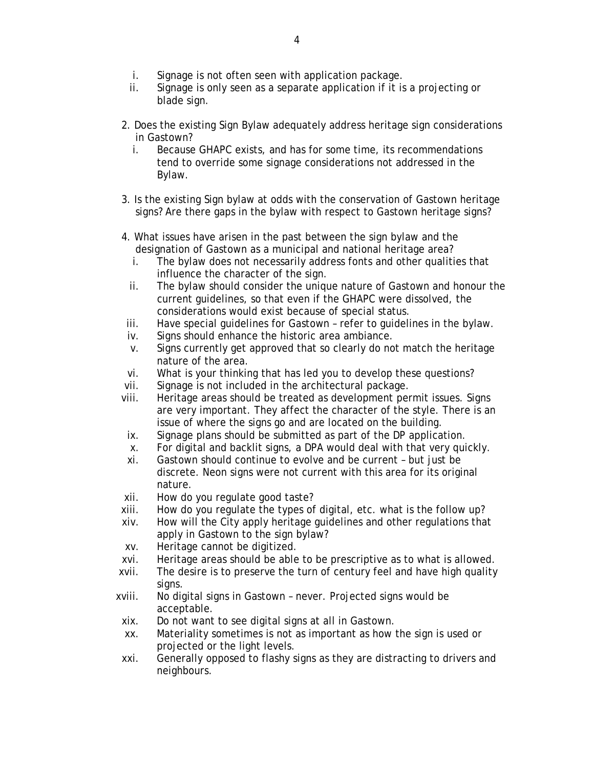- i. Signage is not often seen with application package.
- ii. Signage is only seen as a separate application if it is a projecting or blade sign.
- 2. Does the existing Sign Bylaw adequately address heritage sign considerations in Gastown?
	- i. Because GHAPC exists, and has for some time, its recommendations tend to override some signage considerations not addressed in the Bylaw.
- 3. Is the existing Sign bylaw at odds with the conservation of Gastown heritage signs? Are there gaps in the bylaw with respect to Gastown heritage signs?
- 4. What issues have arisen in the past between the sign bylaw and the designation of Gastown as a municipal and national heritage area?
	- i. The bylaw does not necessarily address fonts and other qualities that influence the character of the sign.
	- ii. The bylaw should consider the unique nature of Gastown and honour the current guidelines, so that even if the GHAPC were dissolved, the considerations would exist because of special status.
- iii. Have special guidelines for Gastown refer to guidelines in the bylaw.
- iv. Signs should enhance the historic area ambiance.
- v. Signs currently get approved that so clearly do not match the heritage nature of the area.
- vi. What is your thinking that has led you to develop these questions?
- vii. Signage is not included in the architectural package.
- viii. Heritage areas should be treated as development permit issues. Signs are very important. They affect the character of the style. There is an issue of where the signs go and are located on the building.
- ix. Signage plans should be submitted as part of the DP application.
- x. For digital and backlit signs, a DPA would deal with that very quickly.
- xi. Gastown should continue to evolve and be current but just be discrete. Neon signs were not current with this area for its original nature.
- xii. How do you regulate good taste?
- xiii. How do you regulate the types of digital, etc. what is the follow up?
- xiv. How will the City apply heritage guidelines and other regulations that apply in Gastown to the sign bylaw?
- xv. Heritage cannot be digitized.
- xvi. Heritage areas should be able to be prescriptive as to what is allowed.
- xvii. The desire is to preserve the turn of century feel and have high quality signs.
- xviii. No digital signs in Gastown never. Projected signs would be acceptable.
- xix. Do not want to see digital signs at all in Gastown.
- xx. Materiality sometimes is not as important as how the sign is used or projected or the light levels.
- xxi. Generally opposed to flashy signs as they are distracting to drivers and neighbours.